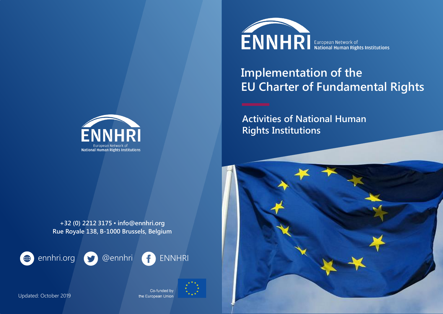

## **Implementation of the EU Charter of Fundamental Rights**

**Activities of National Human Rights Institutions**



**National Human Rights Institutions** 







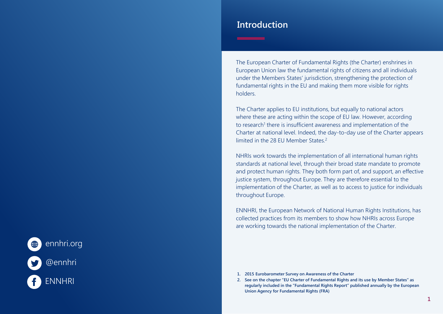# ennhri.org @ennhri ENNHRI

## **Introduction**

The European Charter of Fundamental Rights (the Charter) enshrines in European Union law the fundamental rights of citizens and all individuals under the Members States' jurisdiction, strengthening the protection of fundamental rights in the EU and making them more visible for rights holders.

The Charter applies to EU institutions, but equally to national actors where these are acting within the scope of EU law. However, according to research<sup>1</sup> there is insufficient awareness and implementation of the Charter at national level. Indeed, the day-to-day use of the Charter appears limited in the 28 EU Member States.<sup>2</sup>

NHRIs work towards the implementation of all international human rights standards at national level, through their broad state mandate to promote and protect human rights. They both form part of, and support, an effective justice system, throughout Europe. They are therefore essential to the implementation of the Charter, as well as to access to justice for individuals throughout Europe.

ENNHRI, the European Network of National Human Rights Institutions, has collected practices from its members to show how NHRIs across Europe are working towards the national implementation of the Charter.

- **1. 2015 Eurobarometer Survey on Awareness of the Charter**
- **2. See on the chapter "EU Charter of Fundamental Rights and its use by Member States" as regularly included in the "Fundamental Rights Report" published annually by the European Union Agency for Fundamental Rights (FRA)**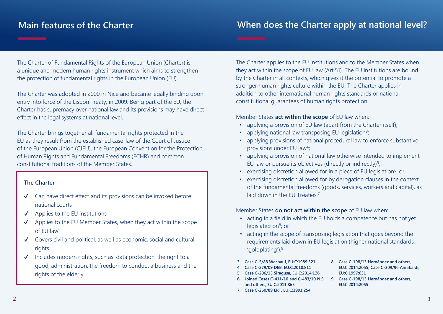## **Main features of the Charter**

## **When does the Charter apply at national level?**

The Charter of Fundamental Rights of the European Union (Charter) is a unique and modern human rights instrument which aims to strengthen the protection of fundamental rights in the European Union (EU).

The Charter was adopted in 2000 in Nice and became legally binding upon entry into force of the Lisbon Treaty, in 2009. Being part of the EU, the Charter has supremacy over national law and its provisions may have direct effect in the legal systems at national level.

The Charter brings together all fundamental rights protected in the EU as they result from the established case-law of the Court of Justice of the European Union (CJEU), the European Convention for the Protection of Human Rights and Fundamental Freedoms (ECHR) and common constitutional traditions of the Member States.

#### **The Charter**

- ✔ Can have direct effect and its provisions can be invoked before national courts
- $\checkmark$  Applies to the EU institutions
- Applies to the EU Member States, when they act within the scope of EU law
- ✔ Covers civil and political, as well as economic, social and cultural rights
- Includes modern rights, such as: data protection, the right to a good, administration, the freedom to conduct a business and the rights of the elderly

The Charter applies to the EU institutions and to the Member States when they act within the scope of EU law (Art.51). The EU institutions are bound by the Charter in all contexts, which gives it the potential to promote a stronger human rights culture within the EU. The Charter applies in addition to other international human rights standards or national constitutional guarantees of human rights protection.

#### Member States **act within the scope** of EU law when:

- applying a provision of EU law (apart from the Charter itself);
- applying national law transposing EU legislation<sup>3</sup>;
- applying provisions of national procedural law to enforce substantive provisions under EU law<sup>4</sup>;
- applying a provision of national law otherwise intended to implement EU law or pursue its objectives (directly or indirectly) $5/2$
- exercising discretion allowed for in a piece of EU legislation<sup>6</sup>; or
- exercising discretion allowed for by derogation clauses in the context of the fundamental freedoms (goods, services, workers and capital), as laid down in the EU Treaties.<sup>7</sup>

#### Member States **do not act within the scope** of EU law when:

- acting in a field in which the EU holds a competence but has not yet legislated on<sup>8</sup>; or
- acting in the scope of transposing legislation that goes beyond the requirements laid down in EU legislation (higher national standards, 'goldplating').<sup>9</sup>
- **3. Case C-5/88 Wachauf, EU:C:1989:321**
- **4. Case C-279/09 DEB, EU:C:2010:811**
- **5. Case C-206/13 Siragusa, EU:C:2014:126**
- **6. Joined Cases C-411/10 and C-483/10 N.S. 9. Case C-198/13 Hernández and others, and others, EU:C:2011:865**
- **7. Case C-260/89 ERT, EU:C:1991:254**
- **8. Case C-198/13 Hernández and others, EU:C:2014:2055; Case C-309/96 Annibaldi, EU:C:1997:631**
- **EU:C:2014:2055**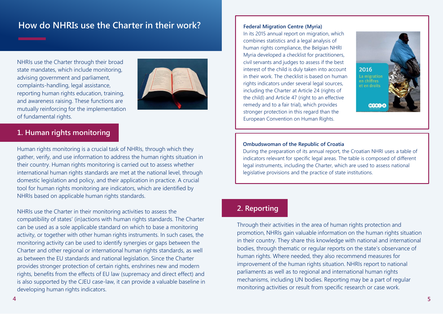## **How do NHRIs use the Charter in their work?**

NHRIs use the Charter through their broad state mandates, which include monitoring, advising government and parliament, complaints-handling, legal assistance, reporting human rights education, training, and awareness raising. These functions are mutually reinforcing for the implementation of fundamental rights.



## **1. Human rights monitoring**

Human rights monitoring is a crucial task of NHRIs, through which they gather, verify, and use information to address the human rights situation in their country. Human rights monitoring is carried out to assess whether international human rights standards are met at the national level, through domestic legislation and policy, and their application in practice. A crucial tool for human rights monitoring are indicators, which are identified by NHRIs based on applicable human rights standards.

NHRIs use the Charter in their monitoring activities to assess the compatibility of states' (in)actions with human rights standards. The Charter can be used as a sole applicable standard on which to base a monitoring activity, or together with other human rights instruments. In such cases, the monitoring activity can be used to identify synergies or gaps between the Charter and other regional or international human rights standards, as well as between the EU standards and national legislation. Since the Charter provides stronger protection of certain rights, enshrines new and modern rights, benefits from the effects of EU law (supremacy and direct effect) and is also supported by the CJEU case-law, it can provide a valuable baseline in developing human rights indicators.

#### **Federal Migration Centre (Myria)**

In its 2015 annual report on migration, which combines statistics and a legal analysis of human rights compliance, the Belgian NHRI Myria developed a checklist for practitioners, civil servants and judges to assess if the best interest of the child is duly taken into account in their work. The checklist is based on human rights indicators under several legal sources, including the Charter at Article 24 (rights of the child) and Article 47 (right to an effective remedy and to a fair trial), which provides stronger protection in this regard than the European Convention on Human Rights.



#### **Ombudswoman of the Republic of Croatia**

During the preparation of its annual report, the Croatian NHRI uses a table of indicators relevant for specific legal areas. The table is composed of different legal instruments, including the Charter, which are used to assess national legislative provisions and the practice of state institutions.

## **2. Reporting**

Through their activities in the area of human rights protection and promotion, NHRIs gain valuable information on the human rights situation in their country. They share this knowledge with national and international bodies, through thematic or regular reports on the state's observance of human rights. Where needed, they also recommend measures for improvement of the human rights situation. NHRIs report to national parliaments as well as to regional and international human rights mechanisms, including UN bodies. Reporting may be a part of regular monitoring activities or result from specific research or case work.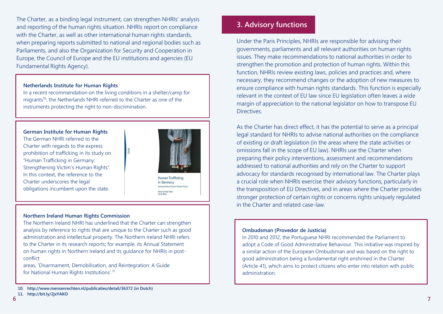The Charter, as a binding legal instrument, can strengthen NHRIs' analysis and reporting of the human rights situation. NHRIs report on compliance with the Charter, as well as other international human rights standards, when preparing reports submitted to national and regional bodies such as Parliaments, and also the Organization for Security and Cooperation in Europe, the Council of Europe and the EU institutions and agencies (EU Fundamental Rights Agency).

#### **Netherlands Institute for Human Rights**

In a recent recommendation on the living conditions in a shelter/camp for migrants<sup>10</sup>, the Netherlands NHRI referred to the Charter as one of the instruments protecting the right to non-discrimination.

itudy

#### **German Institute for Human Rights**

The German NHRI referred to the Charter with regards to the express prohibition of trafficking in its study on "Human Trafficking in Germany: Strengthening Victim's Human Rights". In this context, the reference to the Charter underscores the legal obligations incumbent upon the state.



**Human Trafficking** in Germany Strengthening Victim's Human Right Petra Follmar-Otto<br>Heike Rabe

#### **Northern Ireland Human Rights Commission**

The Northern Ireland NHRI has underlined that the Charter can strengthen analysis by reference to rights that are unique to the Charter such as good administration and intellectual property. The Northern Ireland NHRI refers to the Charter in its research reports; for example, its Annual Statement on human rights in Northern Ireland and its guidance for NHRIs in postconflict

areas, 'Disarmament, Demobilisation, and Reintegration: A Guide for National Human Rights Institutions'.<sup>11</sup>

## **3. Advisory functions**

Under the Paris Principles, NHRIs are responsible for advising their governments, parliaments and all relevant authorities on human rights issues. They make recommendations to national authorities in order to strengthen the promotion and protection of human rights. Within this function, NHRIs review existing laws, policies and practices and, where necessary, they recommend changes or the adoption of new measures to ensure compliance with human rights standards. This function is especially relevant in the context of EU law since EU legislation often leaves a wide margin of appreciation to the national legislator on how to transpose EU **Directives** 

As the Charter has direct effect, it has the potential to serve as a principal legal standard for NHRIs to advise national authorities on the compliance of existing or draft legislation (in the areas where the state activities or omissions fall in the scope of EU law). NHRIs use the Charter when preparing their policy interventions, assessment and recommendations addressed to national authorities and rely on the Charter to support advocacy for standards recognised by international law. The Charter plays a crucial role when NHRIs exercise their advisory functions, particularly in the transposition of EU Directives, and in areas where the Charter provides stronger protection of certain rights or concerns rights uniquely regulated in the Charter and related case-law.

#### **Ombudsman (Provedor de Justicia)**

In 2010 and 2012, the Portuguese NHRI recommended the Parliament to adopt a Code of Good Administrative Behaviour. This initiative was inspired by a similar action of the European Ombudsman and was based on the right to good administration being a fundamental right enshrined in the Charter (Article 41), which aims to protect citizens who enter into relation with public administration.

**<sup>10.</sup> http://www.mensenrechten.nl/publicaties/detail/36372 (in Dutch)**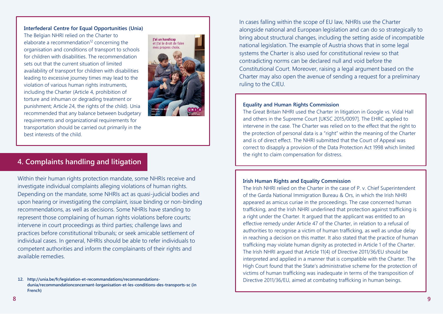#### **Interfederal Centre for Equal Opportunities (Unia)**

The Belgian NHRI relied on the Charter to elaborate a recommendation $12$  concerning the organisation and conditions of transport to schools for children with disabilities. The recommendation sets out that the current situation of limited availability of transport for children with disabilities leading to excessive journey times may lead to the violation of various human rights instruments, including the Charter (Article 4, prohibition of torture and inhuman or degrading treatment or punishment; Article 24, the rights of the child). Unia recommended that any balance between budgetary requirements and organizational requirements for transportation should be carried out primarily in the best interests of the child.



## **4. Complaints handling and litigation**

Within their human rights protection mandate, some NHRIs receive and investigate individual complaints alleging violations of human rights. Depending on the mandate, some NHRIs act as quasi-judicial bodies and upon hearing or investigating the complaint, issue binding or non-binding recommendations, as well as decisions. Some NHRIs have standing to represent those complaining of human rights violations before courts; intervene in court proceedings as third parties; challenge laws and practices before constitutional tribunals; or seek amicable settlement of individual cases. In general, NHRIs should be able to refer individuals to competent authorities and inform the complainants of their rights and available remedies.

In cases falling within the scope of EU law, NHRIs use the Charter alongside national and European legislation and can do so strategically to bring about structural changes, including the setting aside of incompatible national legislation. The example of Austria shows that in some legal systems the Charter is also used for constitutional review so that contradicting norms can be declared null and void before the Constitutional Court. Moreover, raising a legal argument based on the Charter may also open the avenue of sending a request for a preliminary ruling to the CJEU.

#### **Equality and Human Rights Commission**

The Great Britain NHRI used the Charter in litigation in Google vs. Vidal Hall and others in the Supreme Court [UKSC 2015/0097]. The EHRC applied to intervene in the case. The Charter was relied on to the effect that the right to the protection of personal data is a "right" within the meaning of the Charter and is of direct effect. The NHRI submitted that the Court of Appeal was correct to disapply a provision of the Data Protection Act 1998 which limited the right to claim compensation for distress.

#### **Irish Human Rights and Equality Commission**

The Irish NHRI relied on the Charter in the case of P. v. Chief Superintendent of the Garda National Immigration Bureau & Ors, in which the Irish NHRI appeared as amicus curiae in the proceedings. The case concerned human trafficking, and the Irish NHRI underlined that protection against trafficking is a right under the Charter. It argued that the applicant was entitled to an effective remedy under Article 47 of the Charter, in relation to a refusal of authorities to recognise a victim of human trafficking, as well as undue delay in reaching a decision on this matter. It also stated that the practice of human trafficking may violate human dignity as protected in Article 1 of the Charter. The Irish NHRI argued that Article 11(4) of Directive 2011/36/EU should be interpreted and applied in a manner that is compatible with the Charter. The High Court found that the State's administrative scheme for the protection of victims of human trafficking was inadequate in terms of the transposition of Directive 2011/36/EU, aimed at combating trafficking in human beings.

**<sup>12.</sup> http://unia.be/fr/legislation-et-recommandations/recommandationsdunia/recommandationconcernant-lorganisation-et-les-conditions-des-transports-sc (in French)**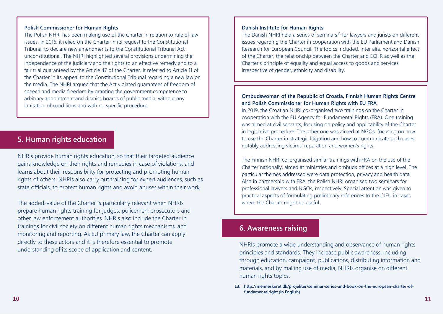#### **Polish Commissioner for Human Rights**

The Polish NHRI has been making use of the Charter in relation to rule of law issues. In 2016, it relied on the Charter in its request to the Constitutional Tribunal to declare new amendments to the Constitutional Tribunal Act unconstitutional. The NHRI highlighted several provisions undermining the independence of the judiciary and the rights to an effective remedy and to a fair trial guaranteed by the Article 47 of the Charter. It referred to Article 11 of the Charter in its appeal to the Constitutional Tribunal regarding a new law on the media. The NHRI argued that the Act violated guarantees of freedom of speech and media freedom by granting the government competence to arbitrary appointment and dismiss boards of public media, without any limitation of conditions and with no specific procedure.

## **5. Human rights education**

NHRIs provide human rights education, so that their targeted audience gains knowledge on their rights and remedies in case of violations, and learns about their responsibility for protecting and promoting human rights of others. NHRIs also carry out training for expert audiences, such as state officials, to protect human rights and avoid abuses within their work.

The added-value of the Charter is particularly relevant when NHRIs prepare human rights training for judges, policemen, prosecutors and other law enforcement authorities. NHRIs also include the Charter in trainings for civil society on different human rights mechanisms, and monitoring and reporting. As EU primary law, the Charter can apply directly to these actors and it is therefore essential to promote understanding of its scope of application and content.

#### **Danish Institute for Human Rights**

The Danish NHRI held a series of seminars<sup>13</sup> for lawyers and jurists on different issues regarding the Charter in cooperation with the EU Parliament and Danish Research for European Council. The topics included, inter alia, horizontal effect of the Charter, the relationship between the Charter and ECHR as well as the Charter's principle of equality and equal access to goods and services irrespective of gender, ethnicity and disability.

#### **Ombudswoman of the Republic of Croatia, Finnish Human Rights Centre and Polish Commissioner for Human Rights with EU FRA**

In 2019, the Croatian NHRI co-organised two trainings on the Charter in cooperation with the EU Agency for Fundamental Rights (FRA). One training was aimed at civil servants, focusing on policy and applicability of the Charter in legislative procedure. The other one was aimed at NGOs, focusing on how to use the Charter in strategic litigation and how to communicate such cases, notably addressing victims' reparation and women's rights.

The Finnish NHRI co-organised similar trainings with FRA on the use of the Charter nationally, aimed at ministries and ombuds offices at a high level. The particular themes addressed were data protection, privacy and health data. Also in partnership with FRA, the Polish NHRI organised two seminars for professional lawyers and NGOs, respectively. Special attention was given to practical aspects of formulating preliminary references to the CJEU in cases where the Charter might be useful.

#### **6. Awareness raising**

NHRIs promote a wide understanding and observance of human rights principles and standards. They increase public awareness, including through education, campaigns, publications, distributing information and materials, and by making use of media, NHRIs organise on different human rights topics.

**<sup>13.</sup> http://menneskeret.dk/projekter/seminar-series-and-book-on-the-european-charter-offundamentalright (in English)**